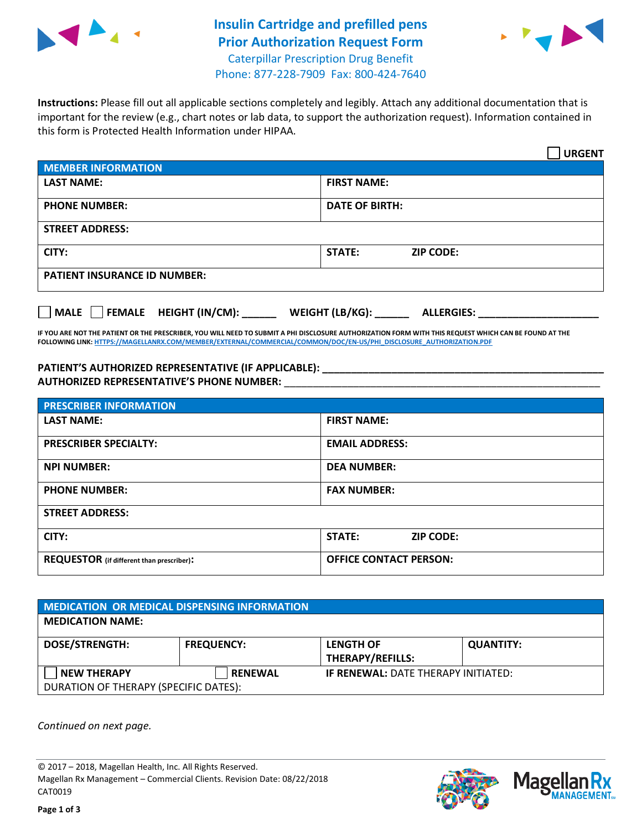

## **Insulin Cartridge and prefilled pens Prior Authorization Request Form** Caterpillar Prescription Drug Benefit



Phone: 877-228-7909 Fax: 800-424-7640

**Instructions:** Please fill out all applicable sections completely and legibly. Attach any additional documentation that is important for the review (e.g., chart notes or lab data, to support the authorization request). Information contained in this form is Protected Health Information under HIPAA.

|                                     | <b>URGENT</b>                        |  |  |  |
|-------------------------------------|--------------------------------------|--|--|--|
| <b>MEMBER INFORMATION</b>           |                                      |  |  |  |
| <b>LAST NAME:</b>                   | <b>FIRST NAME:</b>                   |  |  |  |
| <b>PHONE NUMBER:</b>                | <b>DATE OF BIRTH:</b>                |  |  |  |
| <b>STREET ADDRESS:</b>              |                                      |  |  |  |
| CITY:                               | <b>ZIP CODE:</b><br>STATE:           |  |  |  |
| <b>PATIENT INSURANCE ID NUMBER:</b> |                                      |  |  |  |
| MALE FEMALE HEIGHT (IN/CM):         | WEIGHT (LB/KG):<br><b>ALLERGIES:</b> |  |  |  |

**IF YOU ARE NOT THE PATIENT OR THE PRESCRIBER, YOU WILL NEED TO SUBMIT A PHI DISCLOSURE AUTHORIZATION FORM WITH THIS REQUEST WHICH CAN BE FOUND AT THE FOLLOWING LINK[: HTTPS://MAGELLANRX.COM/MEMBER/EXTERNAL/COMMERCIAL/COMMON/DOC/EN-US/PHI\\_DISCLOSURE\\_AUTHORIZATION.PDF](https://magellanrx.com/member/external/commercial/common/doc/en-us/PHI_Disclosure_Authorization.pdf)**

**PATIENT'S AUTHORIZED REPRESENTATIVE (IF APPLICABLE): \_\_\_\_\_\_\_\_\_\_\_\_\_\_\_\_\_\_\_\_\_\_\_\_\_\_\_\_\_\_\_\_\_\_\_\_\_\_\_\_\_\_\_\_\_\_\_\_\_ AUTHORIZED REPRESENTATIVE'S PHONE NUMBER:** \_\_\_\_\_\_\_\_\_\_\_\_\_\_\_\_\_\_\_\_\_\_\_\_\_\_\_\_\_\_\_\_\_\_\_\_\_\_\_\_\_\_\_\_\_\_\_\_\_\_\_\_\_\_\_

| <b>PRESCRIBER INFORMATION</b>             |                                   |  |  |  |
|-------------------------------------------|-----------------------------------|--|--|--|
| <b>LAST NAME:</b>                         | <b>FIRST NAME:</b>                |  |  |  |
| <b>PRESCRIBER SPECIALTY:</b>              | <b>EMAIL ADDRESS:</b>             |  |  |  |
| <b>NPI NUMBER:</b>                        | <b>DEA NUMBER:</b>                |  |  |  |
| <b>PHONE NUMBER:</b>                      | <b>FAX NUMBER:</b>                |  |  |  |
| <b>STREET ADDRESS:</b>                    |                                   |  |  |  |
| CITY:                                     | <b>STATE:</b><br><b>ZIP CODE:</b> |  |  |  |
| REQUESTOR (if different than prescriber): | <b>OFFICE CONTACT PERSON:</b>     |  |  |  |

| <b>MEDICATION OR MEDICAL DISPENSING INFORMATION</b>         |                   |                                             |                  |  |  |
|-------------------------------------------------------------|-------------------|---------------------------------------------|------------------|--|--|
| <b>MEDICATION NAME:</b>                                     |                   |                                             |                  |  |  |
| <b>DOSE/STRENGTH:</b>                                       | <b>FREQUENCY:</b> | <b>LENGTH OF</b><br><b>THERAPY/REFILLS:</b> | <b>QUANTITY:</b> |  |  |
| <b>NEW THERAPY</b><br>DURATION OF THERAPY (SPECIFIC DATES): | <b>RENEWAL</b>    | <b>IF RENEWAL: DATE THERAPY INITIATED:</b>  |                  |  |  |

*Continued on next page.*

© 2017 – 2018, Magellan Health, Inc. All Rights Reserved. Magellan Rx Management – Commercial Clients. Revision Date: 08/22/2018 CAT0019



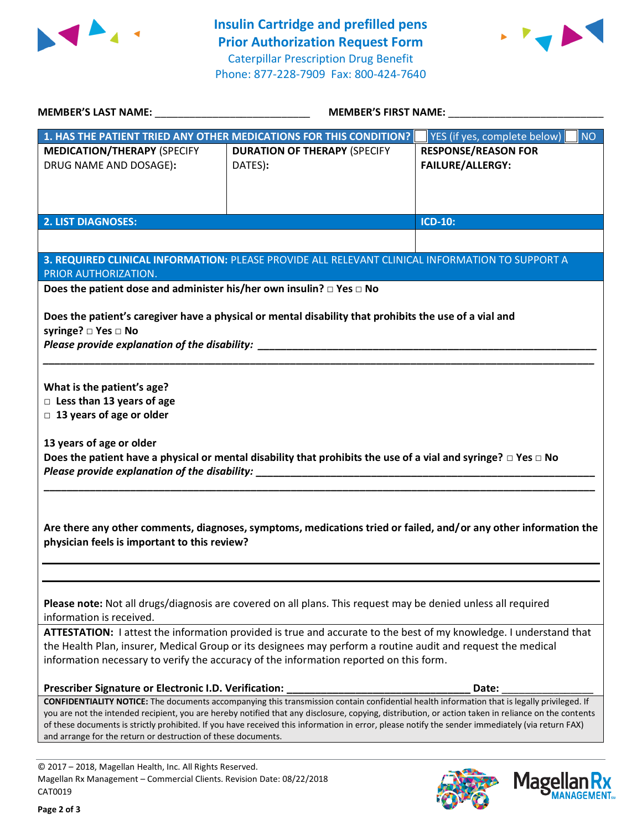



| MEMBER'S LAST NAME: _________________________________                                                                                                                                                                                                                                              | <b>MEMBER'S FIRST NAME:</b> NAME                                                                                         |                                           |  |  |
|----------------------------------------------------------------------------------------------------------------------------------------------------------------------------------------------------------------------------------------------------------------------------------------------------|--------------------------------------------------------------------------------------------------------------------------|-------------------------------------------|--|--|
|                                                                                                                                                                                                                                                                                                    | 1. HAS THE PATIENT TRIED ANY OTHER MEDICATIONS FOR THIS CONDITION?                                                       | YES (if yes, complete below)<br><b>NO</b> |  |  |
| <b>MEDICATION/THERAPY (SPECIFY</b>                                                                                                                                                                                                                                                                 | <b>DURATION OF THERAPY (SPECIFY</b>                                                                                      | <b>RESPONSE/REASON FOR</b>                |  |  |
| DRUG NAME AND DOSAGE):                                                                                                                                                                                                                                                                             | DATES):                                                                                                                  | <b>FAILURE/ALLERGY:</b>                   |  |  |
|                                                                                                                                                                                                                                                                                                    |                                                                                                                          |                                           |  |  |
|                                                                                                                                                                                                                                                                                                    |                                                                                                                          |                                           |  |  |
|                                                                                                                                                                                                                                                                                                    |                                                                                                                          |                                           |  |  |
| <b>2. LIST DIAGNOSES:</b>                                                                                                                                                                                                                                                                          |                                                                                                                          | <b>ICD-10:</b>                            |  |  |
|                                                                                                                                                                                                                                                                                                    |                                                                                                                          |                                           |  |  |
|                                                                                                                                                                                                                                                                                                    | 3. REQUIRED CLINICAL INFORMATION: PLEASE PROVIDE ALL RELEVANT CLINICAL INFORMATION TO SUPPORT A                          |                                           |  |  |
| PRIOR AUTHORIZATION.                                                                                                                                                                                                                                                                               |                                                                                                                          |                                           |  |  |
| Does the patient dose and administer his/her own insulin? $\square$ Yes $\square$ No                                                                                                                                                                                                               |                                                                                                                          |                                           |  |  |
|                                                                                                                                                                                                                                                                                                    |                                                                                                                          |                                           |  |  |
|                                                                                                                                                                                                                                                                                                    | Does the patient's caregiver have a physical or mental disability that prohibits the use of a vial and                   |                                           |  |  |
| syringe? □ Yes □ No                                                                                                                                                                                                                                                                                |                                                                                                                          |                                           |  |  |
|                                                                                                                                                                                                                                                                                                    |                                                                                                                          |                                           |  |  |
|                                                                                                                                                                                                                                                                                                    |                                                                                                                          |                                           |  |  |
| What is the patient's age?                                                                                                                                                                                                                                                                         |                                                                                                                          |                                           |  |  |
| $\Box$ Less than 13 years of age                                                                                                                                                                                                                                                                   |                                                                                                                          |                                           |  |  |
| $\Box$ 13 years of age or older                                                                                                                                                                                                                                                                    |                                                                                                                          |                                           |  |  |
|                                                                                                                                                                                                                                                                                                    |                                                                                                                          |                                           |  |  |
| 13 years of age or older                                                                                                                                                                                                                                                                           |                                                                                                                          |                                           |  |  |
|                                                                                                                                                                                                                                                                                                    | Does the patient have a physical or mental disability that prohibits the use of a vial and syringe? $\Box$ Yes $\Box$ No |                                           |  |  |
|                                                                                                                                                                                                                                                                                                    |                                                                                                                          |                                           |  |  |
|                                                                                                                                                                                                                                                                                                    |                                                                                                                          |                                           |  |  |
|                                                                                                                                                                                                                                                                                                    |                                                                                                                          |                                           |  |  |
|                                                                                                                                                                                                                                                                                                    | Are there any other comments, diagnoses, symptoms, medications tried or failed, and/or any other information the         |                                           |  |  |
| physician feels is important to this review?                                                                                                                                                                                                                                                       |                                                                                                                          |                                           |  |  |
|                                                                                                                                                                                                                                                                                                    |                                                                                                                          |                                           |  |  |
|                                                                                                                                                                                                                                                                                                    |                                                                                                                          |                                           |  |  |
|                                                                                                                                                                                                                                                                                                    |                                                                                                                          |                                           |  |  |
|                                                                                                                                                                                                                                                                                                    | Please note: Not all drugs/diagnosis are covered on all plans. This request may be denied unless all required            |                                           |  |  |
| information is received.                                                                                                                                                                                                                                                                           |                                                                                                                          |                                           |  |  |
| ATTESTATION: I attest the information provided is true and accurate to the best of my knowledge. I understand that                                                                                                                                                                                 |                                                                                                                          |                                           |  |  |
| the Health Plan, insurer, Medical Group or its designees may perform a routine audit and request the medical                                                                                                                                                                                       |                                                                                                                          |                                           |  |  |
| information necessary to verify the accuracy of the information reported on this form.                                                                                                                                                                                                             |                                                                                                                          |                                           |  |  |
|                                                                                                                                                                                                                                                                                                    |                                                                                                                          |                                           |  |  |
| Prescriber Signature or Electronic I.D. Verification:                                                                                                                                                                                                                                              |                                                                                                                          | Date:                                     |  |  |
| CONFIDENTIALITY NOTICE: The documents accompanying this transmission contain confidential health information that is legally privileged. If<br>you are not the intended recipient, you are hereby notified that any disclosure, copying, distribution, or action taken in reliance on the contents |                                                                                                                          |                                           |  |  |
| of these documents is strictly prohibited. If you have received this information in error, please notify the sender immediately (via return FAX)                                                                                                                                                   |                                                                                                                          |                                           |  |  |
| and arrange for the return or destruction of these documents.                                                                                                                                                                                                                                      |                                                                                                                          |                                           |  |  |
|                                                                                                                                                                                                                                                                                                    |                                                                                                                          |                                           |  |  |

© 2017 – 2018, Magellan Health, Inc. All Rights Reserved. Magellan Rx Management – Commercial Clients. Revision Date: 08/22/2018 CAT0019



**Magellar** 

**RX ANAGEMENT**<sub>SM</sub>